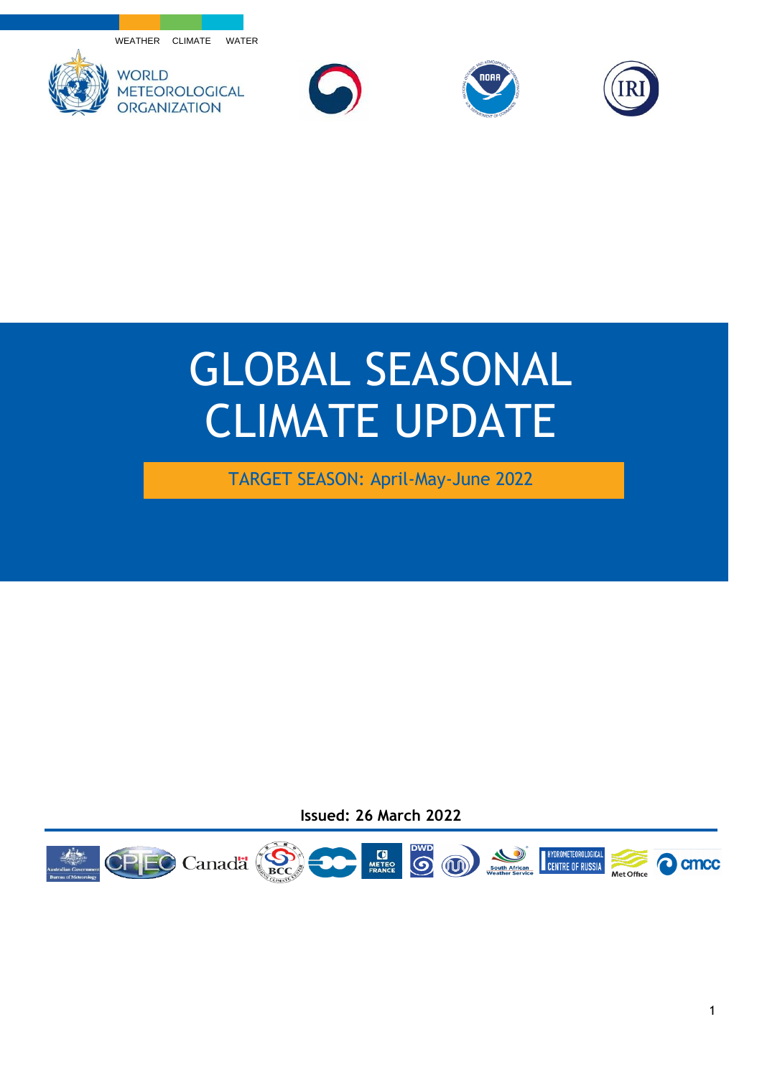WEATHER CLIMATE WATER









## GLOBAL SEASONAL CLIMATE UPDATE

TARGET SEASON: April-May-June 2022

**Issued: 26 March 2022**

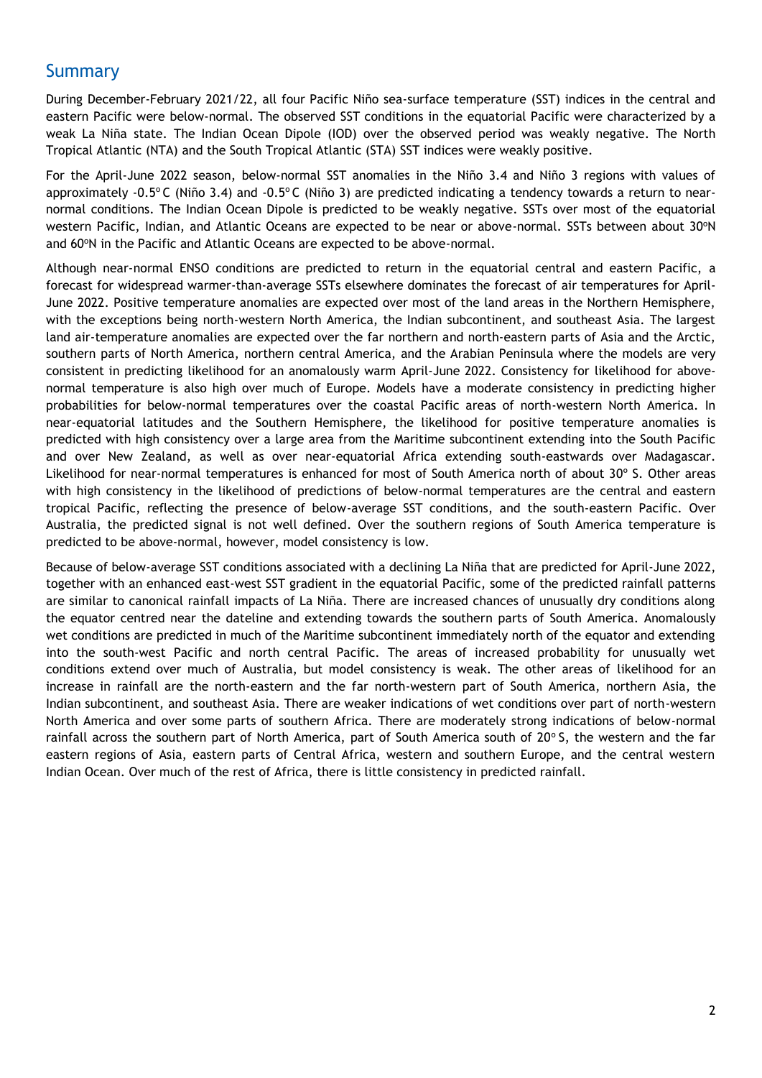## Summary

During December-February 2021/22, all four Pacific Niño sea-surface temperature (SST) indices in the central and eastern Pacific were below-normal. The observed SST conditions in the equatorial Pacific were characterized by a weak La Niña state. The Indian Ocean Dipole (IOD) over the observed period was weakly negative. The North Tropical Atlantic (NTA) and the South Tropical Atlantic (STA) SST indices were weakly positive.

For the April-June 2022 season, below-normal SST anomalies in the Niño 3.4 and Niño 3 regions with values of approximately -0.5°C (Niño 3.4) and -0.5°C (Niño 3) are predicted indicating a tendency towards a return to nearnormal conditions. The Indian Ocean Dipole is predicted to be weakly negative. SSTs over most of the equatorial western Pacific, Indian, and Atlantic Oceans are expected to be near or above-normal. SSTs between about 30°N and 60°N in the Pacific and Atlantic Oceans are expected to be above-normal.

Although near-normal ENSO conditions are predicted to return in the equatorial central and eastern Pacific, a forecast for widespread warmer-than-average SSTs elsewhere dominates the forecast of air temperatures for April-June 2022. Positive temperature anomalies are expected over most of the land areas in the Northern Hemisphere, with the exceptions being north-western North America, the Indian subcontinent, and southeast Asia. The largest land air-temperature anomalies are expected over the far northern and north-eastern parts of Asia and the Arctic, southern parts of North America, northern central America, and the Arabian Peninsula where the models are very consistent in predicting likelihood for an anomalously warm April-June 2022. Consistency for likelihood for abovenormal temperature is also high over much of Europe. Models have a moderate consistency in predicting higher probabilities for below-normal temperatures over the coastal Pacific areas of north-western North America. In near-equatorial latitudes and the Southern Hemisphere, the likelihood for positive temperature anomalies is predicted with high consistency over a large area from the Maritime subcontinent extending into the South Pacific and over New Zealand, as well as over near-equatorial Africa extending south-eastwards over Madagascar. Likelihood for near-normal temperatures is enhanced for most of South America north of about 30º S. Other areas with high consistency in the likelihood of predictions of below-normal temperatures are the central and eastern tropical Pacific, reflecting the presence of below-average SST conditions, and the south-eastern Pacific. Over Australia, the predicted signal is not well defined. Over the southern regions of South America temperature is predicted to be above-normal, however, model consistency is low.

Because of below-average SST conditions associated with a declining La Niña that are predicted for April-June 2022, together with an enhanced east-west SST gradient in the equatorial Pacific, some of the predicted rainfall patterns are similar to canonical rainfall impacts of La Niña. There are increased chances of unusually dry conditions along the equator centred near the dateline and extending towards the southern parts of South America. Anomalously wet conditions are predicted in much of the Maritime subcontinent immediately north of the equator and extending into the south-west Pacific and north central Pacific. The areas of increased probability for unusually wet conditions extend over much of Australia, but model consistency is weak. The other areas of likelihood for an increase in rainfall are the north-eastern and the far north-western part of South America, northern Asia, the Indian subcontinent, and southeast Asia. There are weaker indications of wet conditions over part of north-western North America and over some parts of southern Africa. There are moderately strong indications of below-normal rainfall across the southern part of North America, part of South America south of 20°S, the western and the far eastern regions of Asia, eastern parts of Central Africa, western and southern Europe, and the central western Indian Ocean. Over much of the rest of Africa, there is little consistency in predicted rainfall.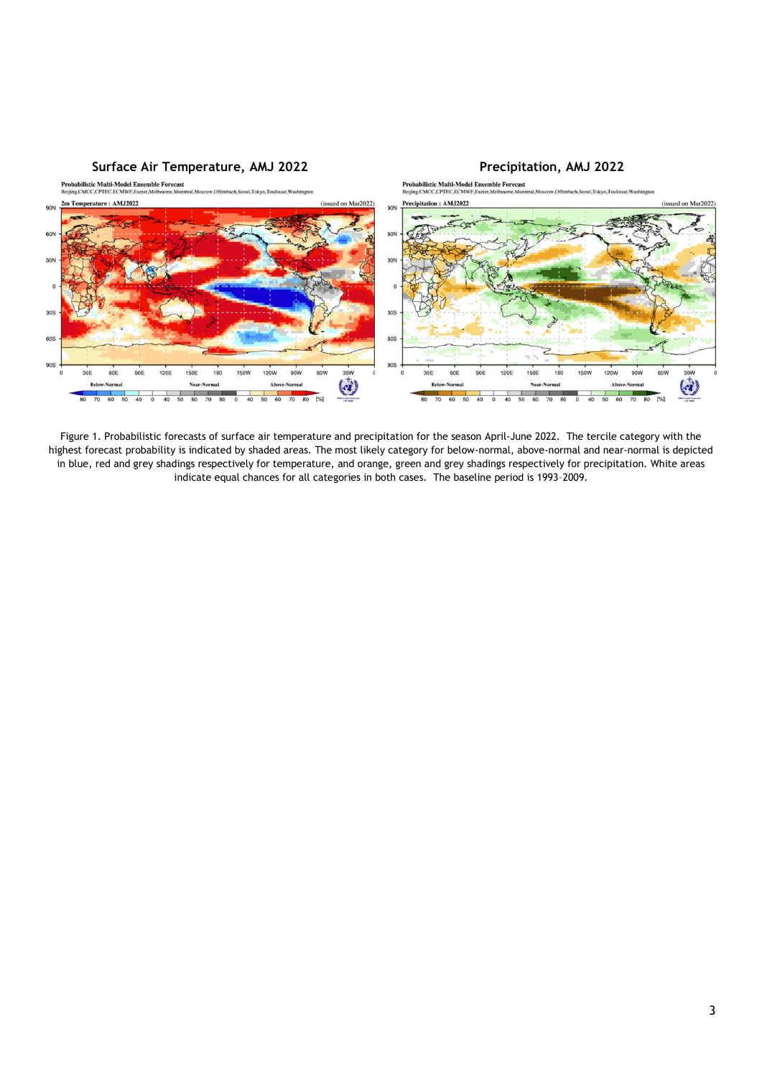

Figure 1. Probabilistic forecasts of surface air temperature and precipitation for the season April-June 2022. The tercile category with the highest forecast probability is indicated by shaded areas. The most likely category for below-normal, above-normal and near-normal is depicted in blue, red and grey shadings respectively for temperature, and orange, green and grey shadings respectively for precipitation. White areas indicate equal chances for all categories in both cases. The baseline period is 1993–2009.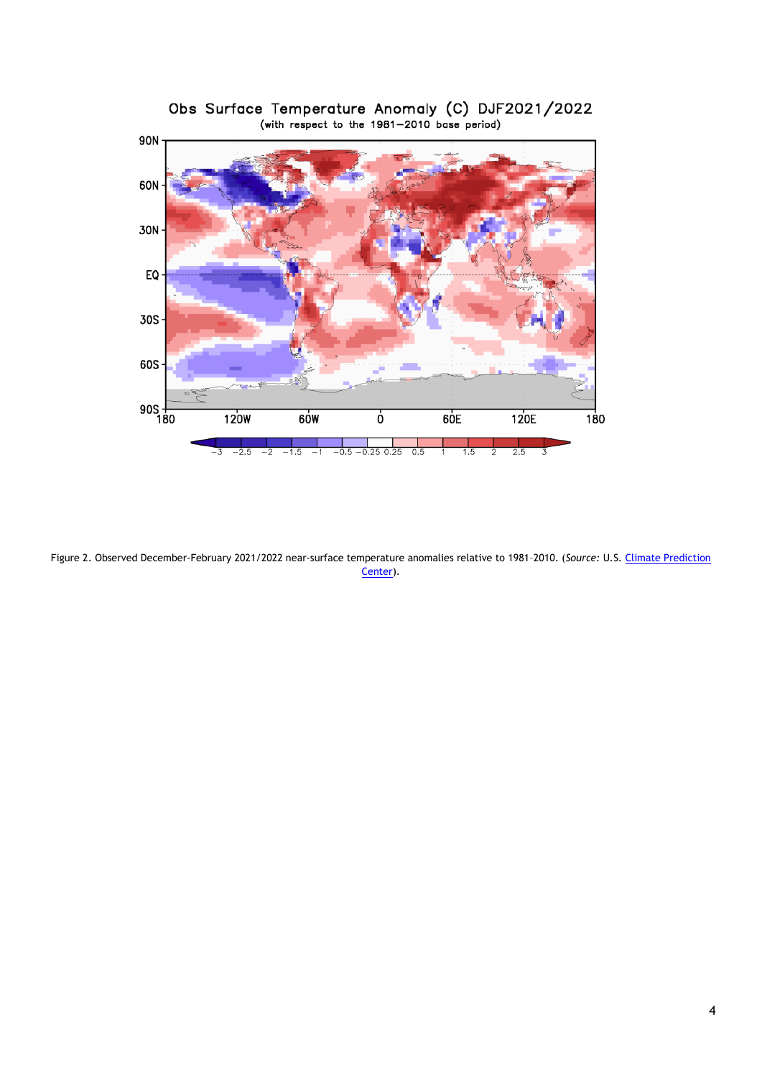

Obs Surface Temperature Anomaly (C) DJF2021/2022<br>(with respect to the 1981-2010 base period)

Figure 2. Observed December-February 2021/2022 near-surface temperature anomalies relative to 1981–2010. (*Source:* U.S[. Climate Prediction](https://www.cpc.ncep.noaa.gov/)  [Center\)](https://www.cpc.ncep.noaa.gov/).